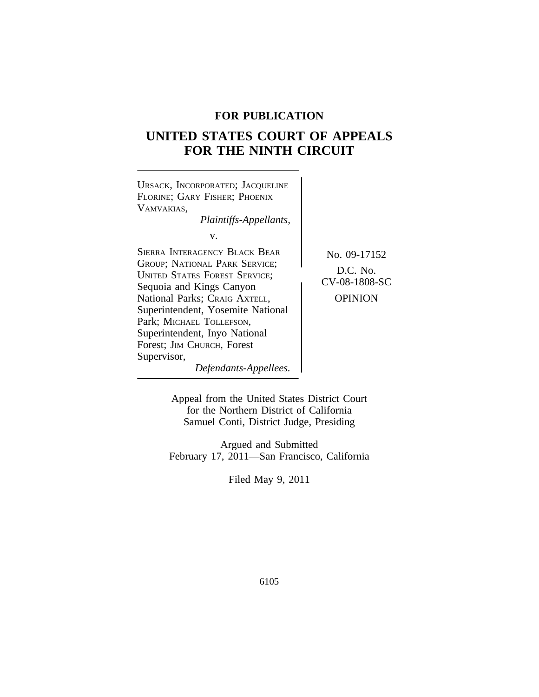## **FOR PUBLICATION**

# **UNITED STATES COURT OF APPEALS FOR THE NINTH CIRCUIT**



Appeal from the United States District Court for the Northern District of California Samuel Conti, District Judge, Presiding

Argued and Submitted February 17, 2011—San Francisco, California

Filed May 9, 2011

6105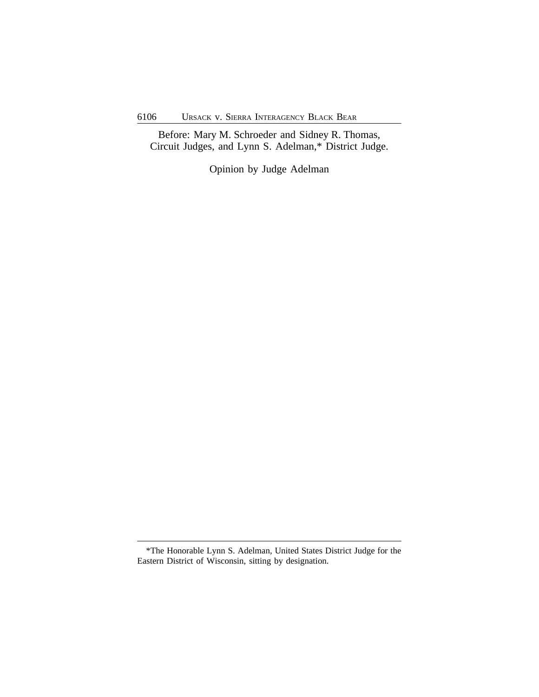Before: Mary M. Schroeder and Sidney R. Thomas, Circuit Judges, and Lynn S. Adelman,\* District Judge.

Opinion by Judge Adelman

<sup>\*</sup>The Honorable Lynn S. Adelman, United States District Judge for the Eastern District of Wisconsin, sitting by designation.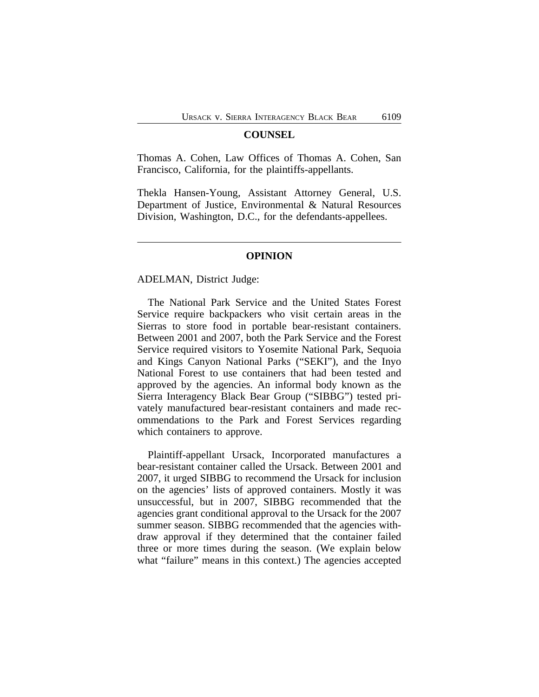#### **COUNSEL**

Thomas A. Cohen, Law Offices of Thomas A. Cohen, San Francisco, California, for the plaintiffs-appellants.

Thekla Hansen-Young, Assistant Attorney General, U.S. Department of Justice, Environmental & Natural Resources Division, Washington, D.C., for the defendants-appellees.

### **OPINION**

ADELMAN, District Judge:

The National Park Service and the United States Forest Service require backpackers who visit certain areas in the Sierras to store food in portable bear-resistant containers. Between 2001 and 2007, both the Park Service and the Forest Service required visitors to Yosemite National Park, Sequoia and Kings Canyon National Parks ("SEKI"), and the Inyo National Forest to use containers that had been tested and approved by the agencies. An informal body known as the Sierra Interagency Black Bear Group ("SIBBG") tested privately manufactured bear-resistant containers and made recommendations to the Park and Forest Services regarding which containers to approve.

Plaintiff-appellant Ursack, Incorporated manufactures a bear-resistant container called the Ursack. Between 2001 and 2007, it urged SIBBG to recommend the Ursack for inclusion on the agencies' lists of approved containers. Mostly it was unsuccessful, but in 2007, SIBBG recommended that the agencies grant conditional approval to the Ursack for the 2007 summer season. SIBBG recommended that the agencies withdraw approval if they determined that the container failed three or more times during the season. (We explain below what "failure" means in this context.) The agencies accepted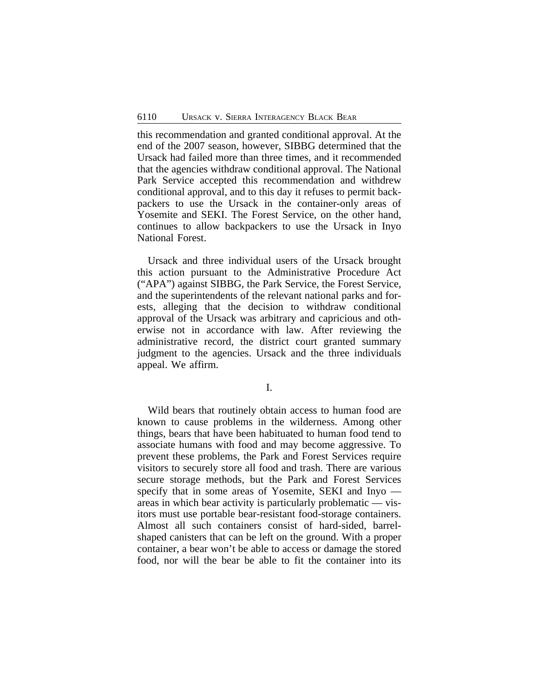this recommendation and granted conditional approval. At the end of the 2007 season, however, SIBBG determined that the Ursack had failed more than three times, and it recommended that the agencies withdraw conditional approval. The National Park Service accepted this recommendation and withdrew conditional approval, and to this day it refuses to permit backpackers to use the Ursack in the container-only areas of Yosemite and SEKI. The Forest Service, on the other hand, continues to allow backpackers to use the Ursack in Inyo National Forest.

Ursack and three individual users of the Ursack brought this action pursuant to the Administrative Procedure Act ("APA") against SIBBG, the Park Service, the Forest Service, and the superintendents of the relevant national parks and forests, alleging that the decision to withdraw conditional approval of the Ursack was arbitrary and capricious and otherwise not in accordance with law. After reviewing the administrative record, the district court granted summary judgment to the agencies. Ursack and the three individuals appeal. We affirm.

I.

Wild bears that routinely obtain access to human food are known to cause problems in the wilderness. Among other things, bears that have been habituated to human food tend to associate humans with food and may become aggressive. To prevent these problems, the Park and Forest Services require visitors to securely store all food and trash. There are various secure storage methods, but the Park and Forest Services specify that in some areas of Yosemite, SEKI and Inyo areas in which bear activity is particularly problematic — visitors must use portable bear-resistant food-storage containers. Almost all such containers consist of hard-sided, barrelshaped canisters that can be left on the ground. With a proper container, a bear won't be able to access or damage the stored food, nor will the bear be able to fit the container into its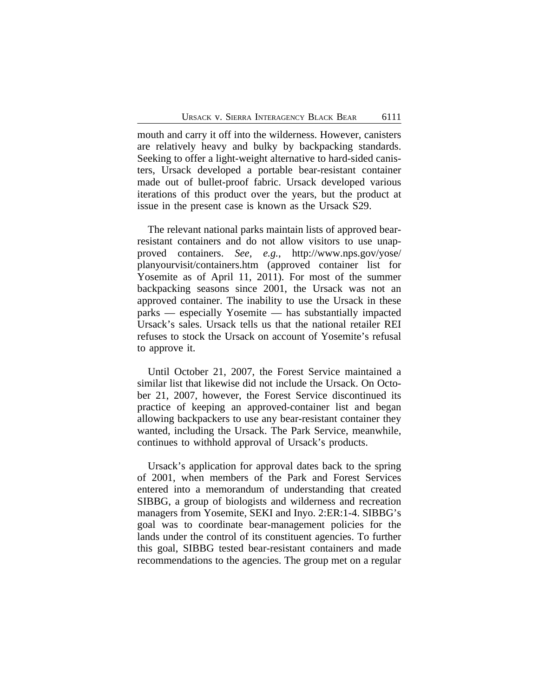mouth and carry it off into the wilderness. However, canisters are relatively heavy and bulky by backpacking standards. Seeking to offer a light-weight alternative to hard-sided canisters, Ursack developed a portable bear-resistant container made out of bullet-proof fabric. Ursack developed various iterations of this product over the years, but the product at issue in the present case is known as the Ursack S29.

The relevant national parks maintain lists of approved bearresistant containers and do not allow visitors to use unapproved containers. *See, e.g.*, http://www.nps.gov/yose/ planyourvisit/containers.htm (approved container list for Yosemite as of April 11, 2011). For most of the summer backpacking seasons since 2001, the Ursack was not an approved container. The inability to use the Ursack in these parks — especially Yosemite — has substantially impacted Ursack's sales. Ursack tells us that the national retailer REI refuses to stock the Ursack on account of Yosemite's refusal to approve it.

Until October 21, 2007, the Forest Service maintained a similar list that likewise did not include the Ursack. On October 21, 2007, however, the Forest Service discontinued its practice of keeping an approved-container list and began allowing backpackers to use any bear-resistant container they wanted, including the Ursack. The Park Service, meanwhile, continues to withhold approval of Ursack's products.

Ursack's application for approval dates back to the spring of 2001, when members of the Park and Forest Services entered into a memorandum of understanding that created SIBBG, a group of biologists and wilderness and recreation managers from Yosemite, SEKI and Inyo. 2:ER:1-4. SIBBG's goal was to coordinate bear-management policies for the lands under the control of its constituent agencies. To further this goal, SIBBG tested bear-resistant containers and made recommendations to the agencies. The group met on a regular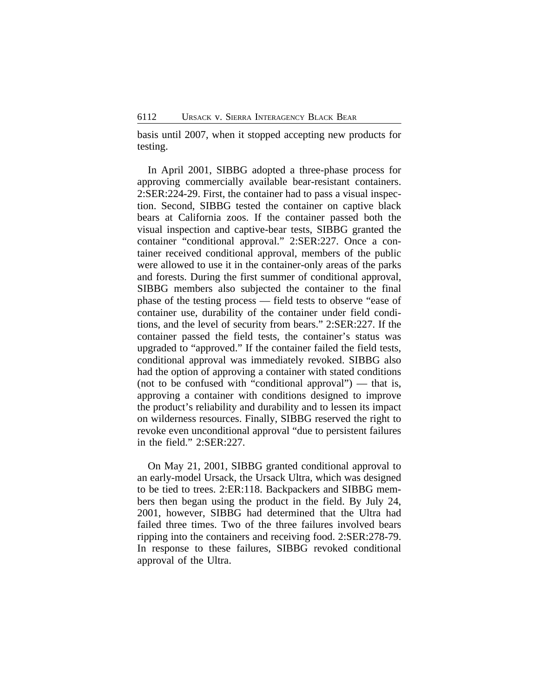basis until 2007, when it stopped accepting new products for testing.

In April 2001, SIBBG adopted a three-phase process for approving commercially available bear-resistant containers. 2:SER:224-29. First, the container had to pass a visual inspection. Second, SIBBG tested the container on captive black bears at California zoos. If the container passed both the visual inspection and captive-bear tests, SIBBG granted the container "conditional approval." 2:SER:227. Once a container received conditional approval, members of the public were allowed to use it in the container-only areas of the parks and forests. During the first summer of conditional approval, SIBBG members also subjected the container to the final phase of the testing process — field tests to observe "ease of container use, durability of the container under field conditions, and the level of security from bears." 2:SER:227. If the container passed the field tests, the container's status was upgraded to "approved." If the container failed the field tests, conditional approval was immediately revoked. SIBBG also had the option of approving a container with stated conditions (not to be confused with "conditional approval") — that is, approving a container with conditions designed to improve the product's reliability and durability and to lessen its impact on wilderness resources. Finally, SIBBG reserved the right to revoke even unconditional approval "due to persistent failures in the field." 2:SER:227.

On May 21, 2001, SIBBG granted conditional approval to an early-model Ursack, the Ursack Ultra, which was designed to be tied to trees. 2:ER:118. Backpackers and SIBBG members then began using the product in the field. By July 24, 2001, however, SIBBG had determined that the Ultra had failed three times. Two of the three failures involved bears ripping into the containers and receiving food. 2:SER:278-79. In response to these failures, SIBBG revoked conditional approval of the Ultra.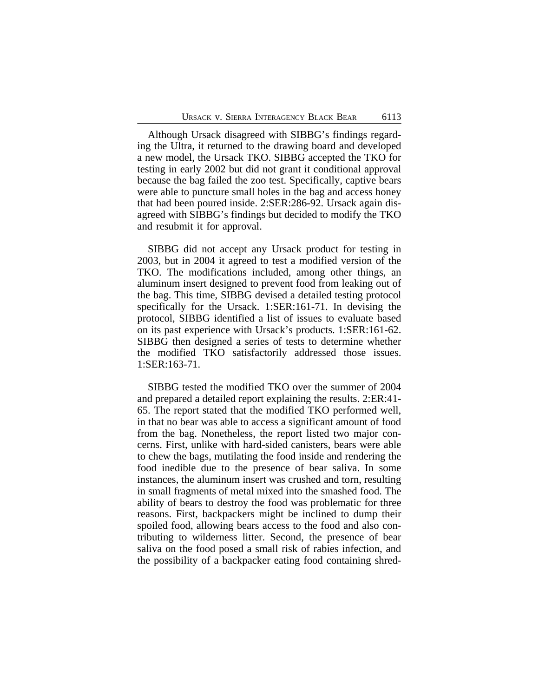Although Ursack disagreed with SIBBG's findings regarding the Ultra, it returned to the drawing board and developed a new model, the Ursack TKO. SIBBG accepted the TKO for testing in early 2002 but did not grant it conditional approval because the bag failed the zoo test. Specifically, captive bears were able to puncture small holes in the bag and access honey that had been poured inside. 2:SER:286-92. Ursack again disagreed with SIBBG's findings but decided to modify the TKO and resubmit it for approval.

SIBBG did not accept any Ursack product for testing in 2003, but in 2004 it agreed to test a modified version of the TKO. The modifications included, among other things, an aluminum insert designed to prevent food from leaking out of the bag. This time, SIBBG devised a detailed testing protocol specifically for the Ursack. 1:SER:161-71. In devising the protocol, SIBBG identified a list of issues to evaluate based on its past experience with Ursack's products. 1:SER:161-62. SIBBG then designed a series of tests to determine whether the modified TKO satisfactorily addressed those issues. 1:SER:163-71.

SIBBG tested the modified TKO over the summer of 2004 and prepared a detailed report explaining the results. 2:ER:41- 65. The report stated that the modified TKO performed well, in that no bear was able to access a significant amount of food from the bag. Nonetheless, the report listed two major concerns. First, unlike with hard-sided canisters, bears were able to chew the bags, mutilating the food inside and rendering the food inedible due to the presence of bear saliva. In some instances, the aluminum insert was crushed and torn, resulting in small fragments of metal mixed into the smashed food. The ability of bears to destroy the food was problematic for three reasons. First, backpackers might be inclined to dump their spoiled food, allowing bears access to the food and also contributing to wilderness litter. Second, the presence of bear saliva on the food posed a small risk of rabies infection, and the possibility of a backpacker eating food containing shred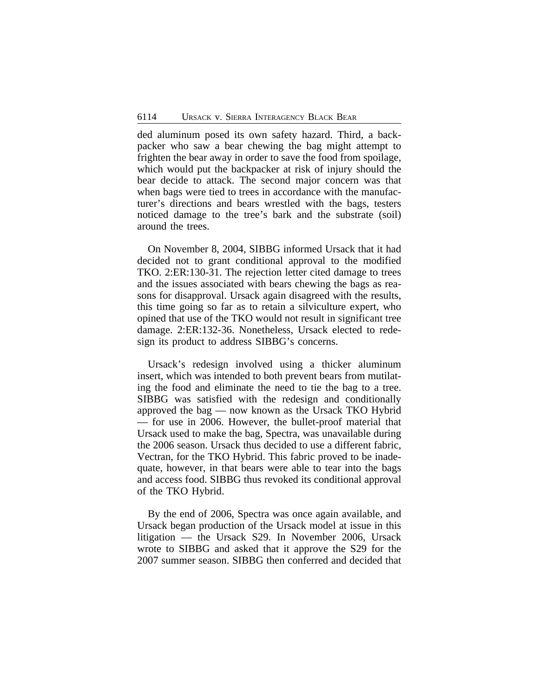ded aluminum posed its own safety hazard. Third, a backpacker who saw a bear chewing the bag might attempt to frighten the bear away in order to save the food from spoilage, which would put the backpacker at risk of injury should the bear decide to attack. The second major concern was that when bags were tied to trees in accordance with the manufacturer's directions and bears wrestled with the bags, testers noticed damage to the tree's bark and the substrate (soil) around the trees.

On November 8, 2004, SIBBG informed Ursack that it had decided not to grant conditional approval to the modified TKO. 2:ER:130-31. The rejection letter cited damage to trees and the issues associated with bears chewing the bags as reasons for disapproval. Ursack again disagreed with the results, this time going so far as to retain a silviculture expert, who opined that use of the TKO would not result in significant tree damage. 2:ER:132-36. Nonetheless, Ursack elected to redesign its product to address SIBBG's concerns.

Ursack's redesign involved using a thicker aluminum insert, which was intended to both prevent bears from mutilating the food and eliminate the need to tie the bag to a tree. SIBBG was satisfied with the redesign and conditionally approved the bag — now known as the Ursack TKO Hybrid — for use in 2006. However, the bullet-proof material that Ursack used to make the bag, Spectra, was unavailable during the 2006 season. Ursack thus decided to use a different fabric, Vectran, for the TKO Hybrid. This fabric proved to be inadequate, however, in that bears were able to tear into the bags and access food. SIBBG thus revoked its conditional approval of the TKO Hybrid.

By the end of 2006, Spectra was once again available, and Ursack began production of the Ursack model at issue in this litigation — the Ursack S29. In November 2006, Ursack wrote to SIBBG and asked that it approve the S29 for the 2007 summer season. SIBBG then conferred and decided that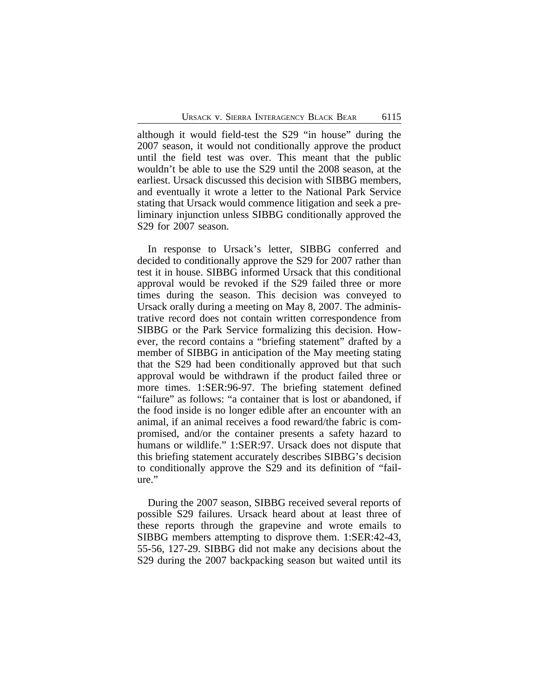although it would field-test the S29 "in house" during the 2007 season, it would not conditionally approve the product until the field test was over. This meant that the public wouldn't be able to use the S29 until the 2008 season, at the earliest. Ursack discussed this decision with SIBBG members, and eventually it wrote a letter to the National Park Service stating that Ursack would commence litigation and seek a preliminary injunction unless SIBBG conditionally approved the S29 for 2007 season.

In response to Ursack's letter, SIBBG conferred and decided to conditionally approve the S29 for 2007 rather than test it in house. SIBBG informed Ursack that this conditional approval would be revoked if the S29 failed three or more times during the season. This decision was conveyed to Ursack orally during a meeting on May 8, 2007. The administrative record does not contain written correspondence from SIBBG or the Park Service formalizing this decision. However, the record contains a "briefing statement" drafted by a member of SIBBG in anticipation of the May meeting stating that the S29 had been conditionally approved but that such approval would be withdrawn if the product failed three or more times. 1:SER:96-97. The briefing statement defined "failure" as follows: "a container that is lost or abandoned, if the food inside is no longer edible after an encounter with an animal, if an animal receives a food reward/the fabric is compromised, and/or the container presents a safety hazard to humans or wildlife." 1:SER:97. Ursack does not dispute that this briefing statement accurately describes SIBBG's decision to conditionally approve the S29 and its definition of "failure."

During the 2007 season, SIBBG received several reports of possible S29 failures. Ursack heard about at least three of these reports through the grapevine and wrote emails to SIBBG members attempting to disprove them. 1:SER:42-43, 55-56, 127-29. SIBBG did not make any decisions about the S29 during the 2007 backpacking season but waited until its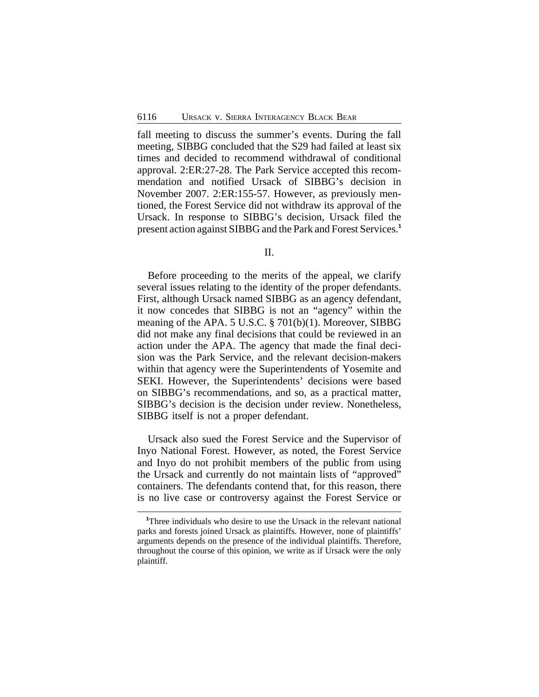fall meeting to discuss the summer's events. During the fall meeting, SIBBG concluded that the S29 had failed at least six times and decided to recommend withdrawal of conditional approval. 2:ER:27-28. The Park Service accepted this recommendation and notified Ursack of SIBBG's decision in November 2007. 2:ER:155-57. However, as previously mentioned, the Forest Service did not withdraw its approval of the Ursack. In response to SIBBG's decision, Ursack filed the present action against SIBBG and the Park and Forest Services.**<sup>1</sup>**

II.

Before proceeding to the merits of the appeal, we clarify several issues relating to the identity of the proper defendants. First, although Ursack named SIBBG as an agency defendant, it now concedes that SIBBG is not an "agency" within the meaning of the APA. 5 U.S.C. § 701(b)(1). Moreover, SIBBG did not make any final decisions that could be reviewed in an action under the APA. The agency that made the final decision was the Park Service, and the relevant decision-makers within that agency were the Superintendents of Yosemite and SEKI. However, the Superintendents' decisions were based on SIBBG's recommendations, and so, as a practical matter, SIBBG's decision is the decision under review. Nonetheless, SIBBG itself is not a proper defendant.

Ursack also sued the Forest Service and the Supervisor of Inyo National Forest. However, as noted, the Forest Service and Inyo do not prohibit members of the public from using the Ursack and currently do not maintain lists of "approved" containers. The defendants contend that, for this reason, there is no live case or controversy against the Forest Service or

**<sup>1</sup>**Three individuals who desire to use the Ursack in the relevant national parks and forests joined Ursack as plaintiffs. However, none of plaintiffs' arguments depends on the presence of the individual plaintiffs. Therefore, throughout the course of this opinion, we write as if Ursack were the only plaintiff.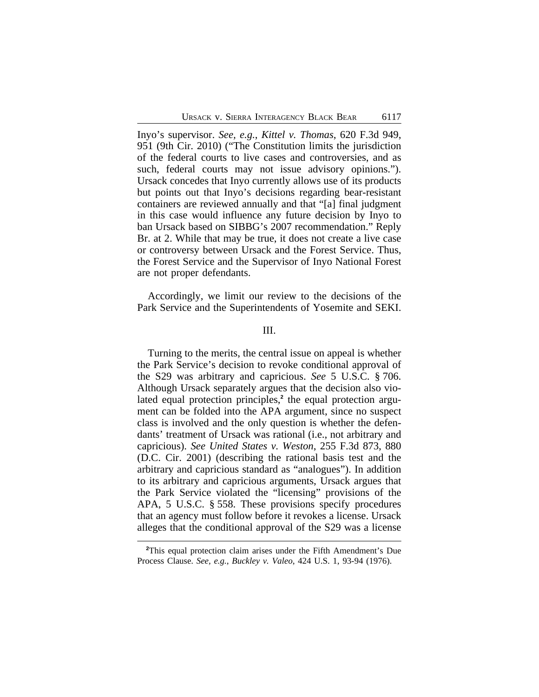Inyo's supervisor. *See, e.g.*, *Kittel v. Thomas*, 620 F.3d 949, 951 (9th Cir. 2010) ("The Constitution limits the jurisdiction of the federal courts to live cases and controversies, and as such, federal courts may not issue advisory opinions."). Ursack concedes that Inyo currently allows use of its products but points out that Inyo's decisions regarding bear-resistant containers are reviewed annually and that "[a] final judgment in this case would influence any future decision by Inyo to ban Ursack based on SIBBG's 2007 recommendation." Reply Br. at 2. While that may be true, it does not create a live case or controversy between Ursack and the Forest Service. Thus, the Forest Service and the Supervisor of Inyo National Forest are not proper defendants.

Accordingly, we limit our review to the decisions of the Park Service and the Superintendents of Yosemite and SEKI.

#### III.

Turning to the merits, the central issue on appeal is whether the Park Service's decision to revoke conditional approval of the S29 was arbitrary and capricious. *See* 5 U.S.C. § 706. Although Ursack separately argues that the decision also violated equal protection principles,<sup>2</sup> the equal protection argument can be folded into the APA argument, since no suspect class is involved and the only question is whether the defendants' treatment of Ursack was rational (i.e., not arbitrary and capricious). *See United States v. Weston*, 255 F.3d 873, 880 (D.C. Cir. 2001) (describing the rational basis test and the arbitrary and capricious standard as "analogues"). In addition to its arbitrary and capricious arguments, Ursack argues that the Park Service violated the "licensing" provisions of the APA, 5 U.S.C. § 558. These provisions specify procedures that an agency must follow before it revokes a license. Ursack alleges that the conditional approval of the S29 was a license

**<sup>2</sup>**This equal protection claim arises under the Fifth Amendment's Due Process Clause. *See, e.g.*, *Buckley v. Valeo*, 424 U.S. 1, 93-94 (1976).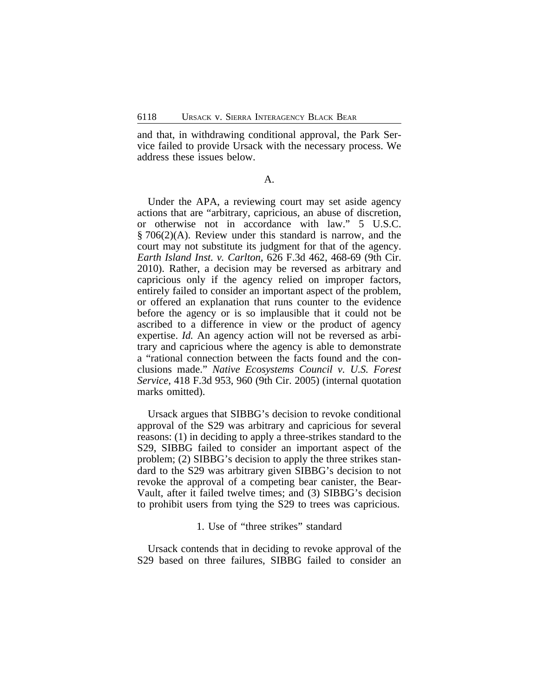and that, in withdrawing conditional approval, the Park Service failed to provide Ursack with the necessary process. We address these issues below.

#### A.

Under the APA, a reviewing court may set aside agency actions that are "arbitrary, capricious, an abuse of discretion, or otherwise not in accordance with law." 5 U.S.C. § 706(2)(A). Review under this standard is narrow, and the court may not substitute its judgment for that of the agency. *Earth Island Inst. v. Carlton*, 626 F.3d 462, 468-69 (9th Cir. 2010). Rather, a decision may be reversed as arbitrary and capricious only if the agency relied on improper factors, entirely failed to consider an important aspect of the problem, or offered an explanation that runs counter to the evidence before the agency or is so implausible that it could not be ascribed to a difference in view or the product of agency expertise. *Id.* An agency action will not be reversed as arbitrary and capricious where the agency is able to demonstrate a "rational connection between the facts found and the conclusions made." *Native Ecosystems Council v. U.S. Forest Service*, 418 F.3d 953, 960 (9th Cir. 2005) (internal quotation marks omitted).

Ursack argues that SIBBG's decision to revoke conditional approval of the S29 was arbitrary and capricious for several reasons: (1) in deciding to apply a three-strikes standard to the S29, SIBBG failed to consider an important aspect of the problem; (2) SIBBG's decision to apply the three strikes standard to the S29 was arbitrary given SIBBG's decision to not revoke the approval of a competing bear canister, the Bear-Vault, after it failed twelve times; and (3) SIBBG's decision to prohibit users from tying the S29 to trees was capricious.

#### 1. Use of "three strikes" standard

Ursack contends that in deciding to revoke approval of the S29 based on three failures, SIBBG failed to consider an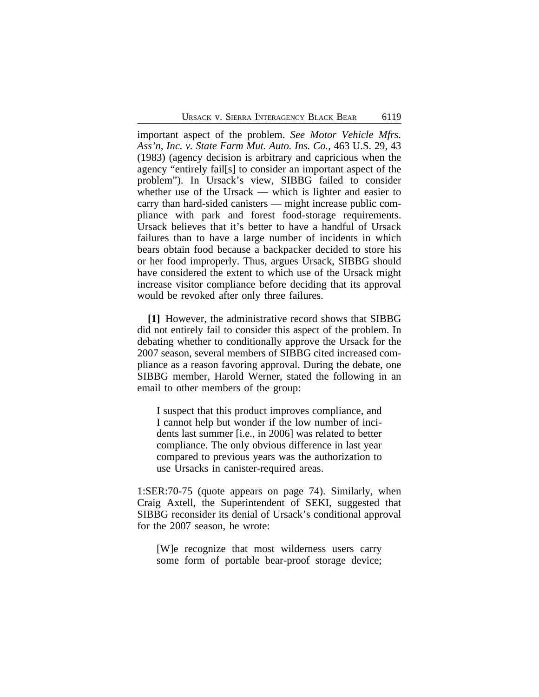important aspect of the problem. *See Motor Vehicle Mfrs. Ass'n, Inc. v. State Farm Mut. Auto. Ins. Co.*, 463 U.S. 29, 43 (1983) (agency decision is arbitrary and capricious when the agency "entirely fail[s] to consider an important aspect of the problem"). In Ursack's view, SIBBG failed to consider whether use of the Ursack — which is lighter and easier to carry than hard-sided canisters — might increase public compliance with park and forest food-storage requirements. Ursack believes that it's better to have a handful of Ursack failures than to have a large number of incidents in which bears obtain food because a backpacker decided to store his or her food improperly. Thus, argues Ursack, SIBBG should have considered the extent to which use of the Ursack might increase visitor compliance before deciding that its approval would be revoked after only three failures.

**[1]** However, the administrative record shows that SIBBG did not entirely fail to consider this aspect of the problem. In debating whether to conditionally approve the Ursack for the 2007 season, several members of SIBBG cited increased compliance as a reason favoring approval. During the debate, one SIBBG member, Harold Werner, stated the following in an email to other members of the group:

I suspect that this product improves compliance, and I cannot help but wonder if the low number of incidents last summer [i.e., in 2006] was related to better compliance. The only obvious difference in last year compared to previous years was the authorization to use Ursacks in canister-required areas.

1:SER:70-75 (quote appears on page 74). Similarly, when Craig Axtell, the Superintendent of SEKI, suggested that SIBBG reconsider its denial of Ursack's conditional approval for the 2007 season, he wrote:

[W]e recognize that most wilderness users carry some form of portable bear-proof storage device;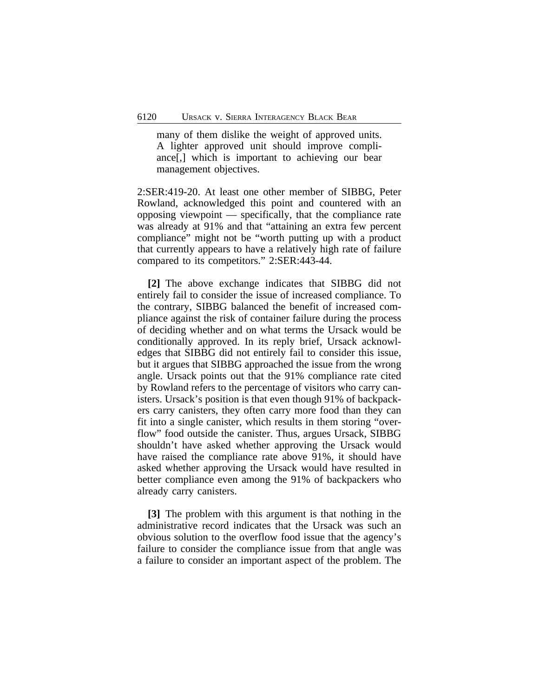many of them dislike the weight of approved units. A lighter approved unit should improve compliance[,] which is important to achieving our bear management objectives.

2:SER:419-20. At least one other member of SIBBG, Peter Rowland, acknowledged this point and countered with an opposing viewpoint — specifically, that the compliance rate was already at 91% and that "attaining an extra few percent compliance" might not be "worth putting up with a product that currently appears to have a relatively high rate of failure compared to its competitors." 2:SER:443-44.

**[2]** The above exchange indicates that SIBBG did not entirely fail to consider the issue of increased compliance. To the contrary, SIBBG balanced the benefit of increased compliance against the risk of container failure during the process of deciding whether and on what terms the Ursack would be conditionally approved. In its reply brief, Ursack acknowledges that SIBBG did not entirely fail to consider this issue, but it argues that SIBBG approached the issue from the wrong angle. Ursack points out that the 91% compliance rate cited by Rowland refers to the percentage of visitors who carry canisters. Ursack's position is that even though 91% of backpackers carry canisters, they often carry more food than they can fit into a single canister, which results in them storing "overflow" food outside the canister. Thus, argues Ursack, SIBBG shouldn't have asked whether approving the Ursack would have raised the compliance rate above 91%, it should have asked whether approving the Ursack would have resulted in better compliance even among the 91% of backpackers who already carry canisters.

**[3]** The problem with this argument is that nothing in the administrative record indicates that the Ursack was such an obvious solution to the overflow food issue that the agency's failure to consider the compliance issue from that angle was a failure to consider an important aspect of the problem. The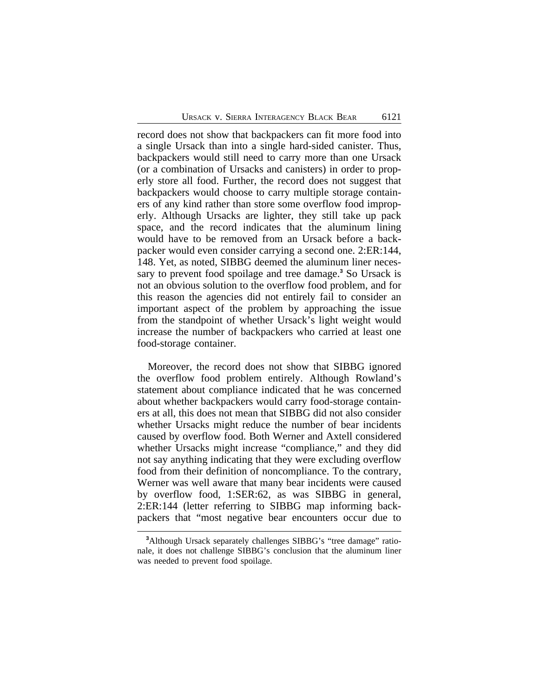record does not show that backpackers can fit more food into a single Ursack than into a single hard-sided canister. Thus, backpackers would still need to carry more than one Ursack (or a combination of Ursacks and canisters) in order to properly store all food. Further, the record does not suggest that backpackers would choose to carry multiple storage containers of any kind rather than store some overflow food improperly. Although Ursacks are lighter, they still take up pack space, and the record indicates that the aluminum lining would have to be removed from an Ursack before a backpacker would even consider carrying a second one. 2:ER:144, 148. Yet, as noted, SIBBG deemed the aluminum liner necessary to prevent food spoilage and tree damage.<sup>3</sup> So Ursack is not an obvious solution to the overflow food problem, and for this reason the agencies did not entirely fail to consider an important aspect of the problem by approaching the issue from the standpoint of whether Ursack's light weight would increase the number of backpackers who carried at least one food-storage container.

Moreover, the record does not show that SIBBG ignored the overflow food problem entirely. Although Rowland's statement about compliance indicated that he was concerned about whether backpackers would carry food-storage containers at all, this does not mean that SIBBG did not also consider whether Ursacks might reduce the number of bear incidents caused by overflow food. Both Werner and Axtell considered whether Ursacks might increase "compliance," and they did not say anything indicating that they were excluding overflow food from their definition of noncompliance. To the contrary, Werner was well aware that many bear incidents were caused by overflow food, 1:SER:62, as was SIBBG in general, 2:ER:144 (letter referring to SIBBG map informing backpackers that "most negative bear encounters occur due to

<sup>&</sup>lt;sup>3</sup>Although Ursack separately challenges SIBBG's "tree damage" rationale, it does not challenge SIBBG's conclusion that the aluminum liner was needed to prevent food spoilage.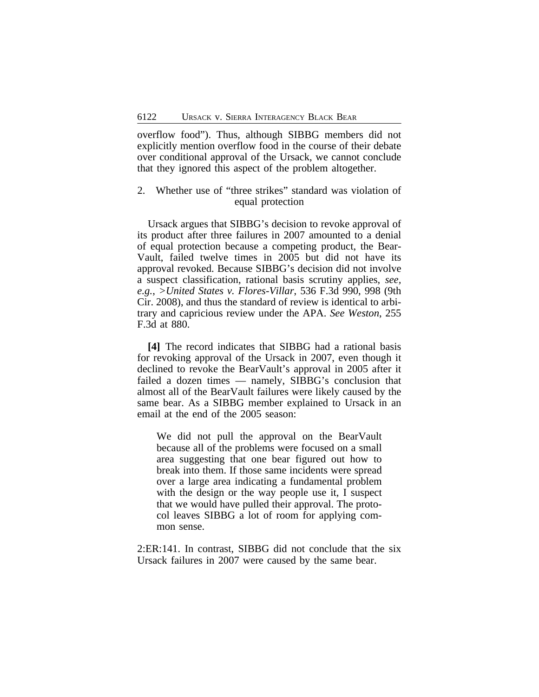overflow food"). Thus, although SIBBG members did not explicitly mention overflow food in the course of their debate over conditional approval of the Ursack, we cannot conclude that they ignored this aspect of the problem altogether.

## 2. Whether use of "three strikes" standard was violation of equal protection

Ursack argues that SIBBG's decision to revoke approval of its product after three failures in 2007 amounted to a denial of equal protection because a competing product, the Bear-Vault, failed twelve times in 2005 but did not have its approval revoked. Because SIBBG's decision did not involve a suspect classification, rational basis scrutiny applies, *see, e.g.*, *>United States v. Flores-Villar*, 536 F.3d 990, 998 (9th Cir. 2008), and thus the standard of review is identical to arbitrary and capricious review under the APA. *See Weston*, 255 F.3d at 880.

**[4]** The record indicates that SIBBG had a rational basis for revoking approval of the Ursack in 2007, even though it declined to revoke the BearVault's approval in 2005 after it failed a dozen times — namely, SIBBG's conclusion that almost all of the BearVault failures were likely caused by the same bear. As a SIBBG member explained to Ursack in an email at the end of the 2005 season:

We did not pull the approval on the BearVault because all of the problems were focused on a small area suggesting that one bear figured out how to break into them. If those same incidents were spread over a large area indicating a fundamental problem with the design or the way people use it, I suspect that we would have pulled their approval. The protocol leaves SIBBG a lot of room for applying common sense.

2:ER:141. In contrast, SIBBG did not conclude that the six Ursack failures in 2007 were caused by the same bear.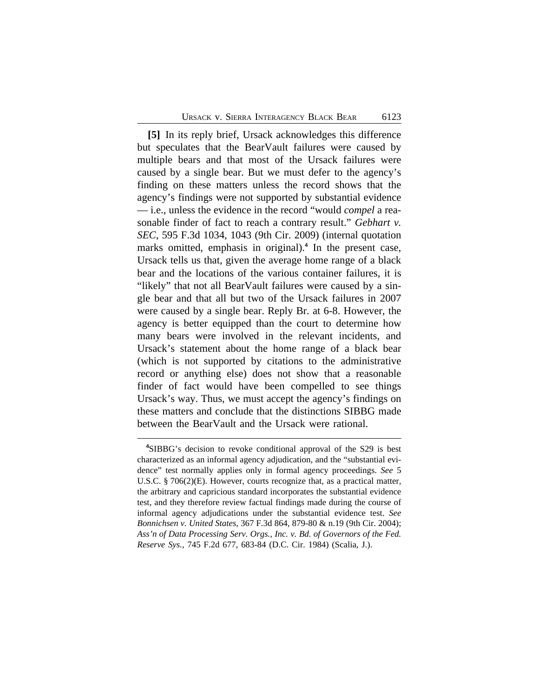**[5]** In its reply brief, Ursack acknowledges this difference but speculates that the BearVault failures were caused by multiple bears and that most of the Ursack failures were caused by a single bear. But we must defer to the agency's finding on these matters unless the record shows that the agency's findings were not supported by substantial evidence — i.e., unless the evidence in the record "would *compel* a reasonable finder of fact to reach a contrary result." *Gebhart v. SEC*, 595 F.3d 1034, 1043 (9th Cir. 2009) (internal quotation marks omitted, emphasis in original).**<sup>4</sup>** In the present case, Ursack tells us that, given the average home range of a black bear and the locations of the various container failures, it is "likely" that not all BearVault failures were caused by a single bear and that all but two of the Ursack failures in 2007 were caused by a single bear. Reply Br. at 6-8. However, the agency is better equipped than the court to determine how many bears were involved in the relevant incidents, and Ursack's statement about the home range of a black bear (which is not supported by citations to the administrative record or anything else) does not show that a reasonable finder of fact would have been compelled to see things Ursack's way. Thus, we must accept the agency's findings on these matters and conclude that the distinctions SIBBG made between the BearVault and the Ursack were rational.

**<sup>4</sup>**SIBBG's decision to revoke conditional approval of the S29 is best characterized as an informal agency adjudication, and the "substantial evidence" test normally applies only in formal agency proceedings. *See* 5 U.S.C. § 706(2)(E). However, courts recognize that, as a practical matter, the arbitrary and capricious standard incorporates the substantial evidence test, and they therefore review factual findings made during the course of informal agency adjudications under the substantial evidence test. *See Bonnichsen v. United States*, 367 F.3d 864, 879-80 & n.19 (9th Cir. 2004); *Ass'n of Data Processing Serv. Orgs., Inc. v. Bd. of Governors of the Fed. Reserve Sys.*, 745 F.2d 677, 683-84 (D.C. Cir. 1984) (Scalia, J.).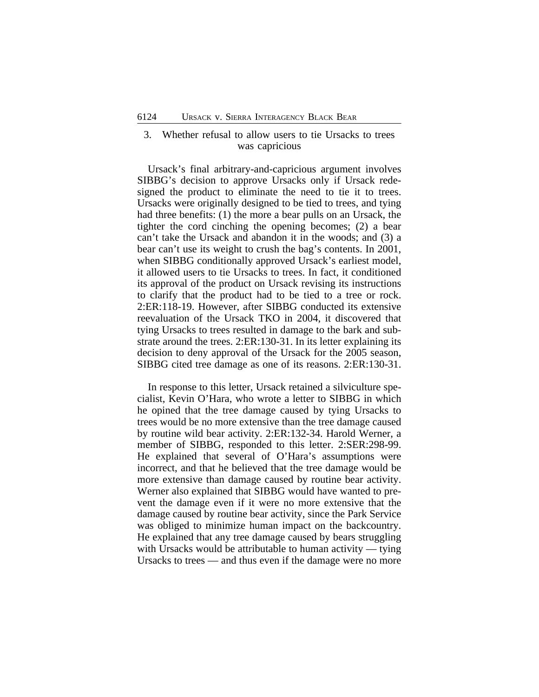## 3. Whether refusal to allow users to tie Ursacks to trees was capricious

Ursack's final arbitrary-and-capricious argument involves SIBBG's decision to approve Ursacks only if Ursack redesigned the product to eliminate the need to tie it to trees. Ursacks were originally designed to be tied to trees, and tying had three benefits: (1) the more a bear pulls on an Ursack, the tighter the cord cinching the opening becomes; (2) a bear can't take the Ursack and abandon it in the woods; and (3) a bear can't use its weight to crush the bag's contents. In 2001, when SIBBG conditionally approved Ursack's earliest model, it allowed users to tie Ursacks to trees. In fact, it conditioned its approval of the product on Ursack revising its instructions to clarify that the product had to be tied to a tree or rock. 2:ER:118-19. However, after SIBBG conducted its extensive reevaluation of the Ursack TKO in 2004, it discovered that tying Ursacks to trees resulted in damage to the bark and substrate around the trees. 2:ER:130-31. In its letter explaining its decision to deny approval of the Ursack for the 2005 season, SIBBG cited tree damage as one of its reasons. 2:ER:130-31.

In response to this letter, Ursack retained a silviculture specialist, Kevin O'Hara, who wrote a letter to SIBBG in which he opined that the tree damage caused by tying Ursacks to trees would be no more extensive than the tree damage caused by routine wild bear activity. 2:ER:132-34. Harold Werner, a member of SIBBG, responded to this letter. 2:SER:298-99. He explained that several of O'Hara's assumptions were incorrect, and that he believed that the tree damage would be more extensive than damage caused by routine bear activity. Werner also explained that SIBBG would have wanted to prevent the damage even if it were no more extensive that the damage caused by routine bear activity, since the Park Service was obliged to minimize human impact on the backcountry. He explained that any tree damage caused by bears struggling with Ursacks would be attributable to human activity — tying Ursacks to trees — and thus even if the damage were no more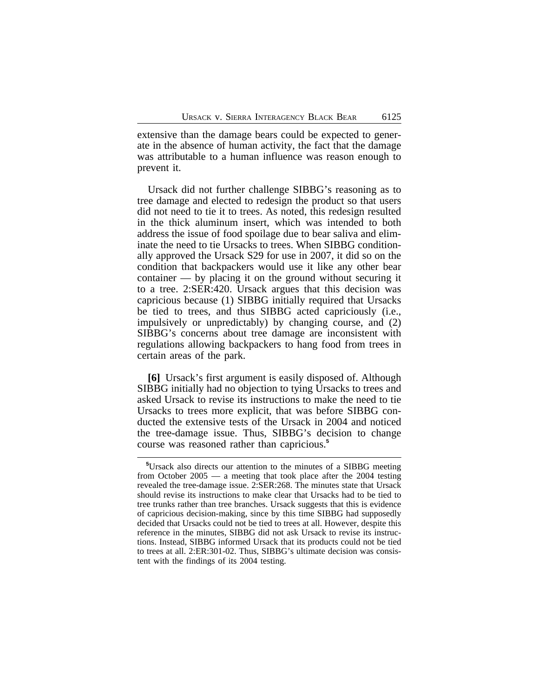extensive than the damage bears could be expected to generate in the absence of human activity, the fact that the damage was attributable to a human influence was reason enough to prevent it.

Ursack did not further challenge SIBBG's reasoning as to tree damage and elected to redesign the product so that users did not need to tie it to trees. As noted, this redesign resulted in the thick aluminum insert, which was intended to both address the issue of food spoilage due to bear saliva and eliminate the need to tie Ursacks to trees. When SIBBG conditionally approved the Ursack S29 for use in 2007, it did so on the condition that backpackers would use it like any other bear container — by placing it on the ground without securing it to a tree. 2:SER:420. Ursack argues that this decision was capricious because (1) SIBBG initially required that Ursacks be tied to trees, and thus SIBBG acted capriciously (i.e., impulsively or unpredictably) by changing course, and (2) SIBBG's concerns about tree damage are inconsistent with regulations allowing backpackers to hang food from trees in certain areas of the park.

**[6]** Ursack's first argument is easily disposed of. Although SIBBG initially had no objection to tying Ursacks to trees and asked Ursack to revise its instructions to make the need to tie Ursacks to trees more explicit, that was before SIBBG conducted the extensive tests of the Ursack in 2004 and noticed the tree-damage issue. Thus, SIBBG's decision to change course was reasoned rather than capricious.**<sup>5</sup>**

**<sup>5</sup>**Ursack also directs our attention to the minutes of a SIBBG meeting from October 2005 — a meeting that took place after the 2004 testing revealed the tree-damage issue. 2:SER:268. The minutes state that Ursack should revise its instructions to make clear that Ursacks had to be tied to tree trunks rather than tree branches. Ursack suggests that this is evidence of capricious decision-making, since by this time SIBBG had supposedly decided that Ursacks could not be tied to trees at all. However, despite this reference in the minutes, SIBBG did not ask Ursack to revise its instructions. Instead, SIBBG informed Ursack that its products could not be tied to trees at all. 2:ER:301-02. Thus, SIBBG's ultimate decision was consistent with the findings of its 2004 testing.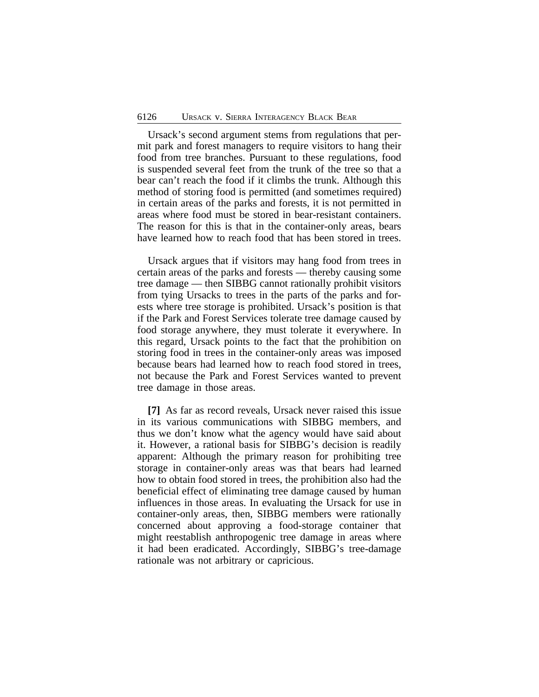Ursack's second argument stems from regulations that permit park and forest managers to require visitors to hang their food from tree branches. Pursuant to these regulations, food is suspended several feet from the trunk of the tree so that a bear can't reach the food if it climbs the trunk. Although this method of storing food is permitted (and sometimes required) in certain areas of the parks and forests, it is not permitted in areas where food must be stored in bear-resistant containers. The reason for this is that in the container-only areas, bears have learned how to reach food that has been stored in trees.

Ursack argues that if visitors may hang food from trees in certain areas of the parks and forests — thereby causing some tree damage — then SIBBG cannot rationally prohibit visitors from tying Ursacks to trees in the parts of the parks and forests where tree storage is prohibited. Ursack's position is that if the Park and Forest Services tolerate tree damage caused by food storage anywhere, they must tolerate it everywhere. In this regard, Ursack points to the fact that the prohibition on storing food in trees in the container-only areas was imposed because bears had learned how to reach food stored in trees, not because the Park and Forest Services wanted to prevent tree damage in those areas.

**[7]** As far as record reveals, Ursack never raised this issue in its various communications with SIBBG members, and thus we don't know what the agency would have said about it. However, a rational basis for SIBBG's decision is readily apparent: Although the primary reason for prohibiting tree storage in container-only areas was that bears had learned how to obtain food stored in trees, the prohibition also had the beneficial effect of eliminating tree damage caused by human influences in those areas. In evaluating the Ursack for use in container-only areas, then, SIBBG members were rationally concerned about approving a food-storage container that might reestablish anthropogenic tree damage in areas where it had been eradicated. Accordingly, SIBBG's tree-damage rationale was not arbitrary or capricious.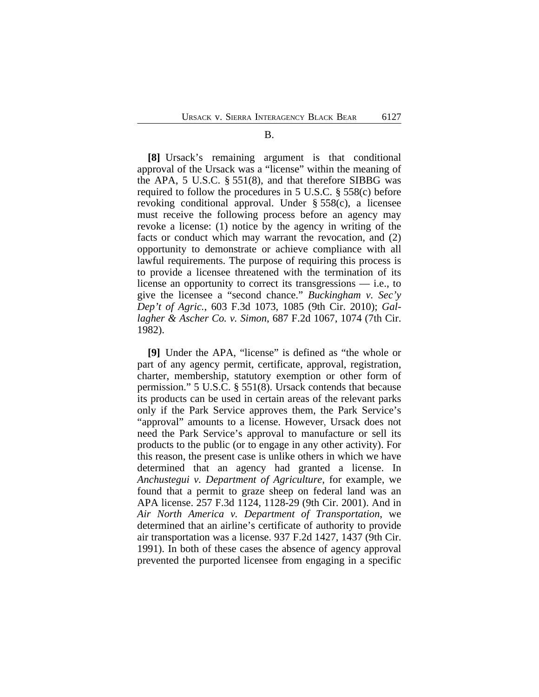#### B.

**[8]** Ursack's remaining argument is that conditional approval of the Ursack was a "license" within the meaning of the APA, 5 U.S.C. § 551(8), and that therefore SIBBG was required to follow the procedures in 5 U.S.C. § 558(c) before revoking conditional approval. Under § 558(c), a licensee must receive the following process before an agency may revoke a license: (1) notice by the agency in writing of the facts or conduct which may warrant the revocation, and (2) opportunity to demonstrate or achieve compliance with all lawful requirements. The purpose of requiring this process is to provide a licensee threatened with the termination of its license an opportunity to correct its transgressions — i.e., to give the licensee a "second chance." *Buckingham v. Sec'y Dep't of Agric.*, 603 F.3d 1073, 1085 (9th Cir. 2010); *Gallagher & Ascher Co. v. Simon*, 687 F.2d 1067, 1074 (7th Cir. 1982).

**[9]** Under the APA, "license" is defined as "the whole or part of any agency permit, certificate, approval, registration, charter, membership, statutory exemption or other form of permission." 5 U.S.C. § 551(8). Ursack contends that because its products can be used in certain areas of the relevant parks only if the Park Service approves them, the Park Service's "approval" amounts to a license. However, Ursack does not need the Park Service's approval to manufacture or sell its products to the public (or to engage in any other activity). For this reason, the present case is unlike others in which we have determined that an agency had granted a license. In *Anchustegui v. Department of Agriculture*, for example, we found that a permit to graze sheep on federal land was an APA license. 257 F.3d 1124, 1128-29 (9th Cir. 2001). And in *Air North America v. Department of Transportation*, we determined that an airline's certificate of authority to provide air transportation was a license. 937 F.2d 1427, 1437 (9th Cir. 1991). In both of these cases the absence of agency approval prevented the purported licensee from engaging in a specific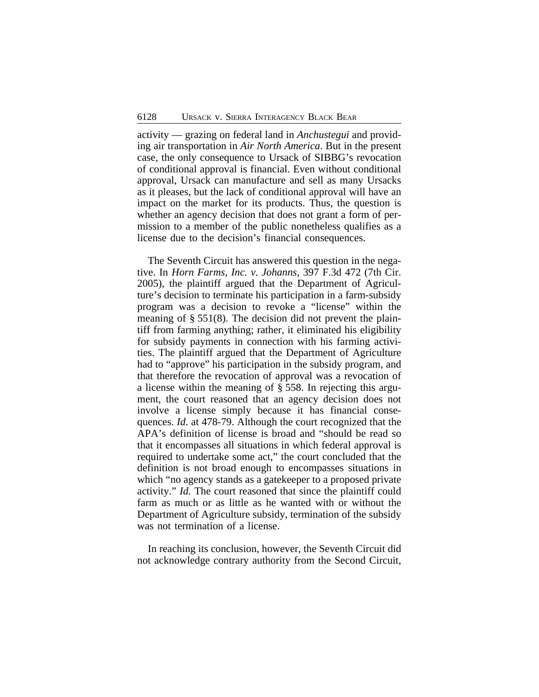activity — grazing on federal land in *Anchustegui* and providing air transportation in *Air North America*. But in the present case, the only consequence to Ursack of SIBBG's revocation of conditional approval is financial. Even without conditional approval, Ursack can manufacture and sell as many Ursacks as it pleases, but the lack of conditional approval will have an impact on the market for its products. Thus, the question is whether an agency decision that does not grant a form of permission to a member of the public nonetheless qualifies as a license due to the decision's financial consequences.

The Seventh Circuit has answered this question in the negative. In *Horn Farms, Inc. v. Johanns*, 397 F.3d 472 (7th Cir. 2005), the plaintiff argued that the Department of Agriculture's decision to terminate his participation in a farm-subsidy program was a decision to revoke a "license" within the meaning of § 551(8). The decision did not prevent the plaintiff from farming anything; rather, it eliminated his eligibility for subsidy payments in connection with his farming activities. The plaintiff argued that the Department of Agriculture had to "approve" his participation in the subsidy program, and that therefore the revocation of approval was a revocation of a license within the meaning of § 558. In rejecting this argument, the court reasoned that an agency decision does not involve a license simply because it has financial consequences. *Id.* at 478-79. Although the court recognized that the APA's definition of license is broad and "should be read so that it encompasses all situations in which federal approval is required to undertake some act," the court concluded that the definition is not broad enough to encompasses situations in which "no agency stands as a gatekeeper to a proposed private activity." *Id.* The court reasoned that since the plaintiff could farm as much or as little as he wanted with or without the Department of Agriculture subsidy, termination of the subsidy was not termination of a license.

In reaching its conclusion, however, the Seventh Circuit did not acknowledge contrary authority from the Second Circuit,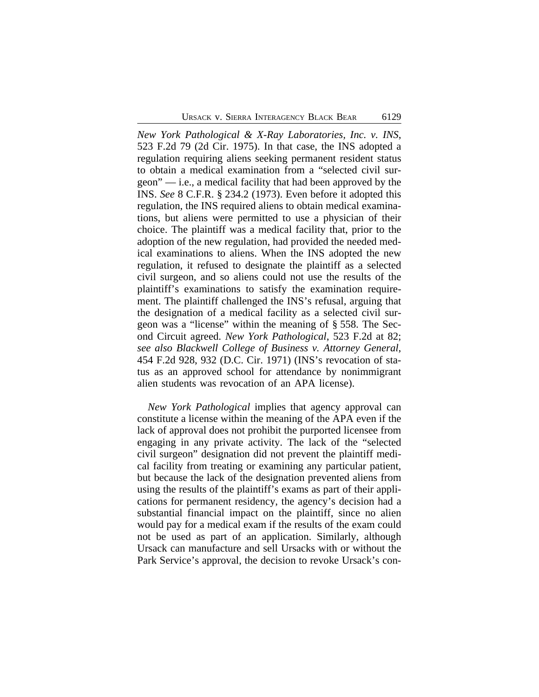*New York Pathological & X-Ray Laboratories, Inc. v. INS*, 523 F.2d 79 (2d Cir. 1975). In that case, the INS adopted a regulation requiring aliens seeking permanent resident status to obtain a medical examination from a "selected civil surgeon" — i.e., a medical facility that had been approved by the INS. *See* 8 C.F.R. § 234.2 (1973). Even before it adopted this regulation, the INS required aliens to obtain medical examinations, but aliens were permitted to use a physician of their choice. The plaintiff was a medical facility that, prior to the adoption of the new regulation, had provided the needed medical examinations to aliens. When the INS adopted the new regulation, it refused to designate the plaintiff as a selected civil surgeon, and so aliens could not use the results of the plaintiff's examinations to satisfy the examination requirement. The plaintiff challenged the INS's refusal, arguing that the designation of a medical facility as a selected civil surgeon was a "license" within the meaning of § 558. The Second Circuit agreed. *New York Pathological*, 523 F.2d at 82; *see also Blackwell College of Business v. Attorney General*, 454 F.2d 928, 932 (D.C. Cir. 1971) (INS's revocation of status as an approved school for attendance by nonimmigrant alien students was revocation of an APA license).

*New York Pathological* implies that agency approval can constitute a license within the meaning of the APA even if the lack of approval does not prohibit the purported licensee from engaging in any private activity. The lack of the "selected civil surgeon" designation did not prevent the plaintiff medical facility from treating or examining any particular patient, but because the lack of the designation prevented aliens from using the results of the plaintiff's exams as part of their applications for permanent residency, the agency's decision had a substantial financial impact on the plaintiff, since no alien would pay for a medical exam if the results of the exam could not be used as part of an application. Similarly, although Ursack can manufacture and sell Ursacks with or without the Park Service's approval, the decision to revoke Ursack's con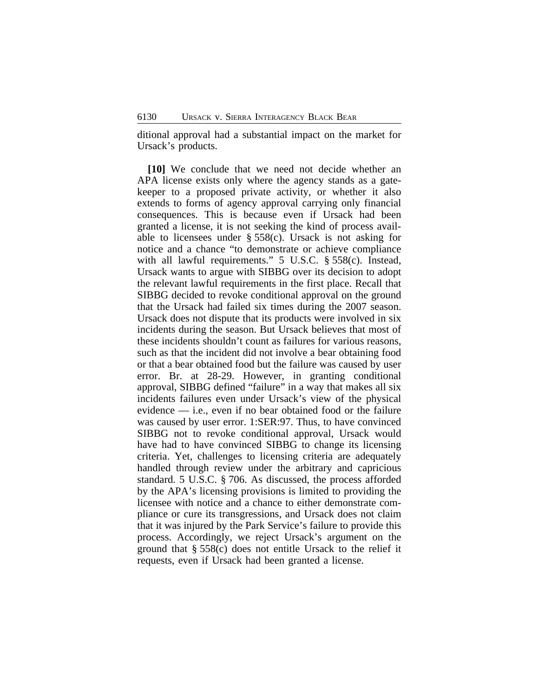ditional approval had a substantial impact on the market for Ursack's products.

**[10]** We conclude that we need not decide whether an APA license exists only where the agency stands as a gatekeeper to a proposed private activity, or whether it also extends to forms of agency approval carrying only financial consequences. This is because even if Ursack had been granted a license, it is not seeking the kind of process available to licensees under  $\S 558(c)$ . Ursack is not asking for notice and a chance "to demonstrate or achieve compliance with all lawful requirements." 5 U.S.C. § 558(c). Instead, Ursack wants to argue with SIBBG over its decision to adopt the relevant lawful requirements in the first place. Recall that SIBBG decided to revoke conditional approval on the ground that the Ursack had failed six times during the 2007 season. Ursack does not dispute that its products were involved in six incidents during the season. But Ursack believes that most of these incidents shouldn't count as failures for various reasons, such as that the incident did not involve a bear obtaining food or that a bear obtained food but the failure was caused by user error. Br. at 28-29. However, in granting conditional approval, SIBBG defined "failure" in a way that makes all six incidents failures even under Ursack's view of the physical evidence — i.e., even if no bear obtained food or the failure was caused by user error. 1:SER:97. Thus, to have convinced SIBBG not to revoke conditional approval, Ursack would have had to have convinced SIBBG to change its licensing criteria. Yet, challenges to licensing criteria are adequately handled through review under the arbitrary and capricious standard. 5 U.S.C. § 706. As discussed, the process afforded by the APA's licensing provisions is limited to providing the licensee with notice and a chance to either demonstrate compliance or cure its transgressions, and Ursack does not claim that it was injured by the Park Service's failure to provide this process. Accordingly, we reject Ursack's argument on the ground that § 558(c) does not entitle Ursack to the relief it requests, even if Ursack had been granted a license.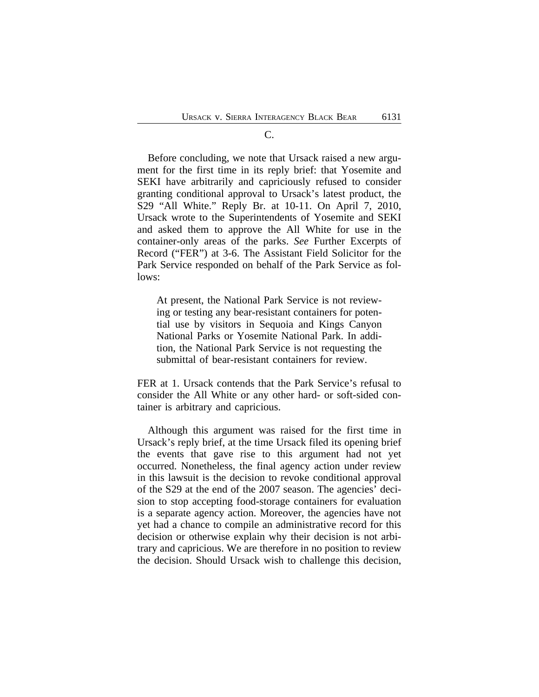#### C.

Before concluding, we note that Ursack raised a new argument for the first time in its reply brief: that Yosemite and SEKI have arbitrarily and capriciously refused to consider granting conditional approval to Ursack's latest product, the S29 "All White." Reply Br. at 10-11. On April 7, 2010, Ursack wrote to the Superintendents of Yosemite and SEKI and asked them to approve the All White for use in the container-only areas of the parks. *See* Further Excerpts of Record ("FER") at 3-6. The Assistant Field Solicitor for the Park Service responded on behalf of the Park Service as follows:

At present, the National Park Service is not reviewing or testing any bear-resistant containers for potential use by visitors in Sequoia and Kings Canyon National Parks or Yosemite National Park. In addition, the National Park Service is not requesting the submittal of bear-resistant containers for review.

FER at 1. Ursack contends that the Park Service's refusal to consider the All White or any other hard- or soft-sided container is arbitrary and capricious.

Although this argument was raised for the first time in Ursack's reply brief, at the time Ursack filed its opening brief the events that gave rise to this argument had not yet occurred. Nonetheless, the final agency action under review in this lawsuit is the decision to revoke conditional approval of the S29 at the end of the 2007 season. The agencies' decision to stop accepting food-storage containers for evaluation is a separate agency action. Moreover, the agencies have not yet had a chance to compile an administrative record for this decision or otherwise explain why their decision is not arbitrary and capricious. We are therefore in no position to review the decision. Should Ursack wish to challenge this decision,